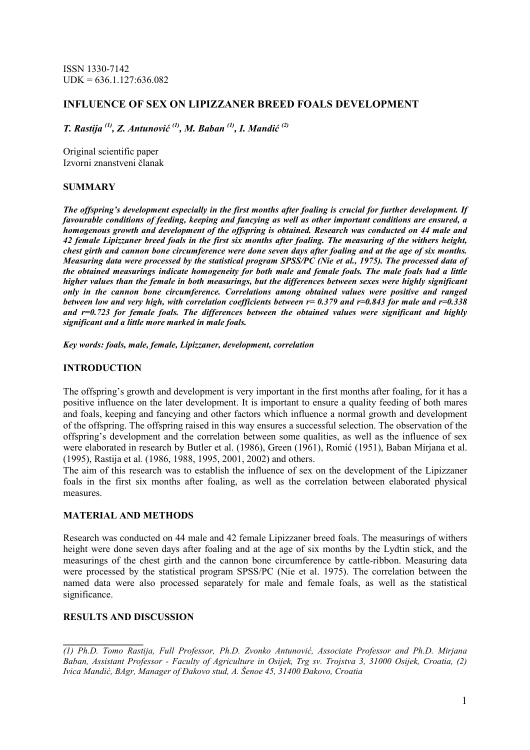ISSN 1330-7142  $UDK = 636.1.127:636.082$ 

## INFLUENCE OF SEX ON LIPIZZANER BREED FOALS DEVELOPMENT

T. Rastija  $(1)$ , Z. Antunović  $(1)$ , M. Baban  $(1)$ , I. Mandić  $(2)$ 

Original scientific paper Izvorni znanstveni članak

## SUMMARY

The offspring's development especially in the first months after foaling is crucial for further development. If favourable conditions of feeding, keeping and fancying as well as other important conditions are ensured, a homogenous growth and development of the offspring is obtained. Research was conducted on 44 male and 42 female Lipizzaner breed foals in the first six months after foaling. The measuring of the withers height, chest girth and cannon bone circumference were done seven days after foaling and at the age of six months. Measuring data were processed by the statistical program SPSS/PC (Nie et al., 1975). The processed data of the obtained measurings indicate homogeneity for both male and female foals. The male foals had a little higher values than the female in both measurings, but the differences between sexes were highly significant only in the cannon bone circumference. Correlations among obtained values were positive and ranged between low and very high, with correlation coefficients between  $r=0.379$  and  $r=0.843$  for male and  $r=0.338$ and  $r=0.723$  for female foals. The differences between the obtained values were significant and highly significant and a little more marked in male foals.

Key words: foals, male, female, Lipizzaner, development, correlation

## INTRODUCTION

The offspring's growth and development is very important in the first months after foaling, for it has a positive influence on the later development. It is important to ensure a quality feeding of both mares and foals, keeping and fancying and other factors which influence a normal growth and development of the offspring. The offspring raised in this way ensures a successful selection. The observation of the offspring's development and the correlation between some qualities, as well as the influence of sex were elaborated in research by Butler et al. (1986), Green (1961), Romić (1951), Baban Mirjana et al. (1995), Rastija et al. (1986, 1988, 1995, 2001, 2002) and others.

The aim of this research was to establish the influence of sex on the development of the Lipizzaner foals in the first six months after foaling, as well as the correlation between elaborated physical measures.

#### MATERIAL AND METHODS

Research was conducted on 44 male and 42 female Lipizzaner breed foals. The measurings of withers height were done seven days after foaling and at the age of six months by the Lydtin stick, and the measurings of the chest girth and the cannon bone circumference by cattle-ribbon. Measuring data were processed by the statistical program SPSS/PC (Nie et al. 1975). The correlation between the named data were also processed separately for male and female foals, as well as the statistical significance.

## RESULTS AND DISCUSSION

 $\mathcal{L}=\mathcal{L}^{\text{max}}$ (1) Ph.D. Tomo Rastija, Full Professor, Ph.D. Zvonko Antunović, Associate Professor and Ph.D. Mirjana Baban, Assistant Professor - Faculty of Agriculture in Osijek, Trg sv. Trojstva 3, 31000 Osijek, Croatia, (2) Ivica Mandić, BAgr, Manager of ðakovo stud, A. Šenoe 45, 31400 ðakovo, Croatia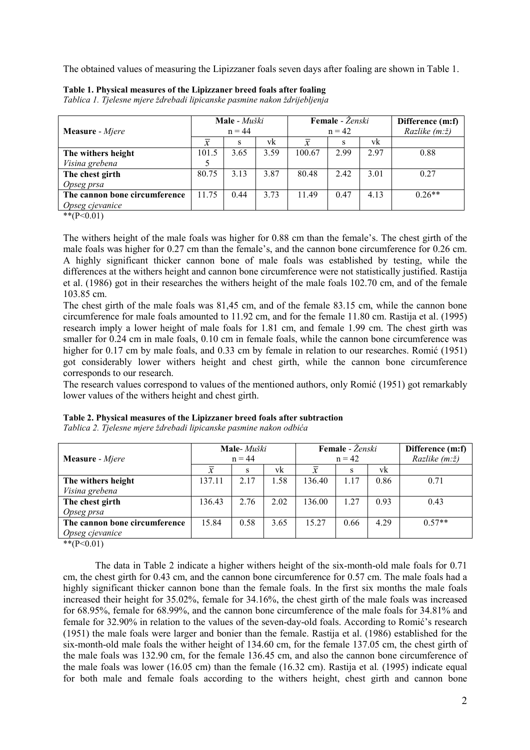The obtained values of measuring the Lipizzaner foals seven days after foaling are shown in Table 1.

| <b>Measure</b> - <i>Mjere</i>                                                                       | Male - Muški<br>$n = 44$ |      |      | Female - Ženski<br>$n = 42$ |      |      | Difference (m:f)<br><i>Razlike</i> $(m:\check{z})$ |
|-----------------------------------------------------------------------------------------------------|--------------------------|------|------|-----------------------------|------|------|----------------------------------------------------|
|                                                                                                     |                          | s    | vk   |                             | S    | vk   |                                                    |
| The withers height                                                                                  | 101.5                    | 3.65 | 3.59 | 100.67                      | 2.99 | 2.97 | 0.88                                               |
| Visina grebena                                                                                      |                          |      |      |                             |      |      |                                                    |
| The chest girth                                                                                     | 80.75                    | 3.13 | 3.87 | 80.48                       | 2.42 | 3.01 | 0.27                                               |
| Opseg prsa                                                                                          |                          |      |      |                             |      |      |                                                    |
| The cannon bone circumference                                                                       | 11.75                    | 0.44 | 3.73 | 1149                        | 0.47 | 4.13 | $0.26**$                                           |
| Opseg cjevanice<br>$\mathbf{d} \cdot \mathbf{d} \cdot \mathbf{d} \cdot \mathbf{d} \cdot \mathbf{d}$ |                          |      |      |                             |      |      |                                                    |

Table 1. Physical measures of the Lipizzaner breed foals after foaling

Tablica 1. Tjelesne mjere ždrebadi lipicanske pasmine nakon ždrijebljenja

 $*$  $(P<0.01)$ 

The withers height of the male foals was higher for 0.88 cm than the female's. The chest girth of the male foals was higher for 0.27 cm than the female's, and the cannon bone circumference for 0.26 cm. A highly significant thicker cannon bone of male foals was established by testing, while the differences at the withers height and cannon bone circumference were not statistically justified. Rastija et al. (1986) got in their researches the withers height of the male foals 102.70 cm, and of the female 103.85 cm.

The chest girth of the male foals was 81,45 cm, and of the female 83.15 cm, while the cannon bone circumference for male foals amounted to 11.92 cm, and for the female 11.80 cm. Rastija et al. (1995) research imply a lower height of male foals for 1.81 cm, and female 1.99 cm. The chest girth was smaller for  $0.24$  cm in male foals,  $0.10$  cm in female foals, while the cannon bone circumference was higher for 0.17 cm by male foals, and 0.33 cm by female in relation to our researches. Romić (1951) got considerably lower withers height and chest girth, while the cannon bone circumference corresponds to our research.

The research values correspond to values of the mentioned authors, only Romić (1951) got remarkably lower values of the withers height and chest girth.

| <b>Measure</b> - <i>Mjere</i> | Male-Muški<br>$n = 44$ |      |      | Female - Ženski<br>$n = 42$ |      |      | Difference (m:f)<br>Razlike (m:ž) |
|-------------------------------|------------------------|------|------|-----------------------------|------|------|-----------------------------------|
|                               | $\mathcal{X}$          | s    | vk   | $\mathcal{X}$               | s    | vk   |                                   |
| The withers height            | 137.11                 | 2.17 | 1.58 | 136.40                      | 1.17 | 0.86 | 0.71                              |
| Visina grebena                |                        |      |      |                             |      |      |                                   |
| The chest girth               | 136.43                 | 2.76 | 2.02 | 136.00                      | 1.27 | 0.93 | 0.43                              |
| Opseg prsa                    |                        |      |      |                             |      |      |                                   |
| The cannon bone circumference | 15.84                  | 0.58 | 3.65 | 15.27                       | 0.66 | 4.29 | $0.57**$                          |
| Opseg cjevanice               |                        |      |      |                             |      |      |                                   |

Table 2. Physical measures of the Lipizzaner breed foals after subtraction

Tablica 2. Tjelesne mjere ždrebadi lipicanske pasmine nakon odbića

 $*$ (P<0.01)

The data in Table 2 indicate a higher withers height of the six-month-old male foals for 0.71 cm, the chest girth for 0.43 cm, and the cannon bone circumference for 0.57 cm. The male foals had a highly significant thicker cannon bone than the female foals. In the first six months the male foals increased their height for 35.02%, female for 34.16%, the chest girth of the male foals was increased for 68.95%, female for 68.99%, and the cannon bone circumference of the male foals for 34.81% and female for 32.90% in relation to the values of the seven-day-old foals. According to Romić's research (1951) the male foals were larger and bonier than the female. Rastija et al. (1986) established for the six-month-old male foals the wither height of 134.60 cm, for the female 137.05 cm, the chest girth of the male foals was 132.90 cm, for the female 136.45 cm, and also the cannon bone circumference of the male foals was lower (16.05 cm) than the female (16.32 cm). Rastija et al. (1995) indicate equal for both male and female foals according to the withers height, chest girth and cannon bone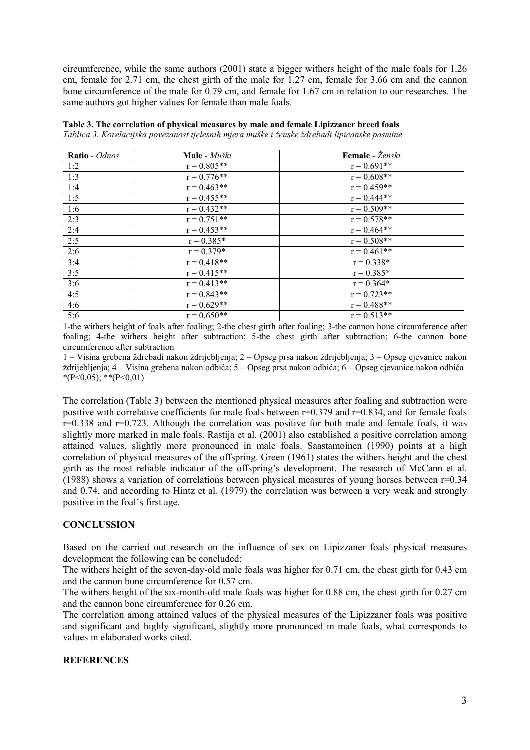circumference, while the same authors (2001) state a bigger withers height of the male foals for 1.26 cm, female for 2.71 cm, the chest girth of the male for 1.27 cm, female for 3.66 cm and the cannon bone circumference of the male for 0.79 cm, and female for 1.67 cm in relation to our researches. The same authors got higher values for female than male foals.

| <b>Ratio</b> - Odnos | Male - Muški  | Female - Ženski |
|----------------------|---------------|-----------------|
| 1:2                  | $r = 0.805**$ | $r = 0.691**$   |
| 1:3                  | $r = 0.776**$ | $r = 0.608**$   |
| 1:4                  | $r = 0.463**$ | $r = 0.459**$   |
| 1:5                  | $r = 0.455**$ | $r = 0.444**$   |
| $1:6$                | $r = 0.432**$ | $r = 0.509**$   |
| 2:3                  | $r = 0.751**$ | $r = 0.578**$   |
| 2:4                  | $r = 0.453**$ | $r = 0.464**$   |
| 2:5                  | $r = 0.385*$  | $r = 0.508**$   |
| 2:6                  | $r = 0.379*$  | $r = 0.461**$   |
| 3:4                  | $r = 0.418**$ | $r = 0.338*$    |
| 3:5                  | $r = 0.415**$ | $r = 0.385*$    |
| 3:6                  | $r = 0.413**$ | $r = 0.364*$    |
| 4:5                  | $r = 0.843**$ | $r = 0.723**$   |
| 4:6                  | $r = 0.629**$ | $r = 0.488**$   |
| 5:6                  | $r = 0.650**$ | $r = 0.513**$   |

Table 3. The correlation of physical measures by male and female Lipizzaner breed foals Tablica 3. Korelacijska povezanost tjelesnih mjera muške i ženske ždrebadi lipicanske pasmine

1-the withers height of foals after foaling; 2-the chest girth after foaling; 3-the cannon bone circumference after foaling; 4-the withers height after subtraction; 5-the chest girth after subtraction; 6-the cannon bone circumference after subtraction

1 – Visina grebena ždrebadi nakon ždrijebljenja; 2 – Opseg prsa nakon ždrijebljenja; 3 – Opseg cjevanice nakon ždrijebljenja; 4 – Visina grebena nakon odbića; 5 – Opseg prsa nakon odbića; 6 – Opseg cjevanice nakon odbića  $*(P<0.05);$  \*\* $(P<0.01)$ 

The correlation (Table 3) between the mentioned physical measures after foaling and subtraction were positive with correlative coefficients for male foals between  $r=0.379$  and  $r=0.834$ , and for female foals r=0.338 and r=0.723. Although the correlation was positive for both male and female foals, it was slightly more marked in male foals. Rastija et al. (2001) also established a positive correlation among attained values, slightly more pronounced in male foals. Saastamoinen (1990) points at a high correlation of physical measures of the offspring. Green (1961) states the withers height and the chest girth as the most reliable indicator of the offspring's development. The research of McCann et al. (1988) shows a variation of correlations between physical measures of young horses between r=0.34 and 0.74, and according to Hintz et al. (1979) the correlation was between a very weak and strongly positive in the foal's first age.

#### **CONCLUSSION**

Based on the carried out research on the influence of sex on Lipizzaner foals physical measures development the following can be concluded:

The withers height of the seven-day-old male foals was higher for 0.71 cm, the chest girth for 0.43 cm and the cannon bone circumference for 0.57 cm.

The withers height of the six-month-old male foals was higher for 0.88 cm, the chest girth for 0.27 cm and the cannon bone circumference for 0.26 cm.

The correlation among attained values of the physical measures of the Lipizzaner foals was positive and significant and highly significant, slightly more pronounced in male foals, what corresponds to values in elaborated works cited.

#### **REFERENCES**